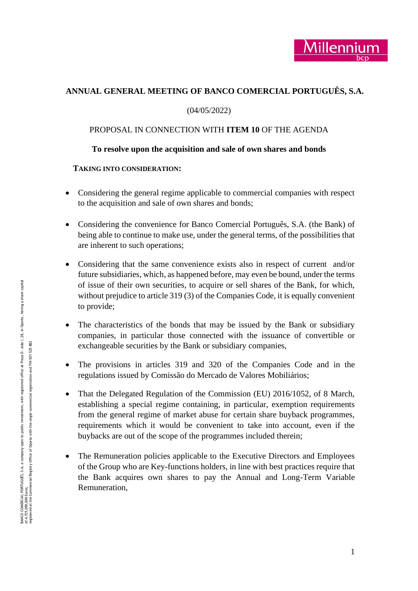# **ANNUAL GENERAL MEETING OF BANCO COMERCIAL PORTUGUÊS, S.A.**

## (04/05/2022)

## PROPOSAL IN CONNECTION WITH **ITEM 1 0** OF THE AGENDA

## **To resolve upon the acquisition and sale of own shares and bonds**

### **TAKING INTO CONSIDERATION :**

- Considering the general regime applicable to commercial companies with respect to the acquisition and sale of own shares and bonds;
- Considering the convenience for Banco Comercial Português, S.A. (the Bank) of being able to continue to make use, under the general terms, of the possibilities that are inherent to such operations;
- Considering that the same convenience exists also in respect of current and/or future subsidiaries, which, as happened before, may even be bound, under the terms of issue of their own securities, to acquire or sell shares of the Bank, for which, without prejudice to article 319 (3) of the Companies Code, it is equally convenient to provide;
- The characteristics of the bonds that may be issued by the Bank or subsidiary companies, in particular those connected with the issuance of convertible or exchangeable securities by the Bank or subsidiary companies,
- The provisions in articles 319 and 320 of the Companies Code and in the regulations issued by Comissão do Mercado de Valores Mobiliários;
- That the Delegated Regulation of the Commission (EU) 2016/1052, of 8 March, establishing a special regime containing, in particular, exemption requirements from the general regime of market abuse for certain share buyback programmes, requirements which it would be convenient to take into account, even if the buybacks are out of the scope of the programmes included therein;
- The Remuneration policies applicable to the Executive Directors and Employees of the Group who are Key -functions holders, in line with best practices require that the Bank acquires own shares to pay the Annual and Long -Term Variable Remuneration,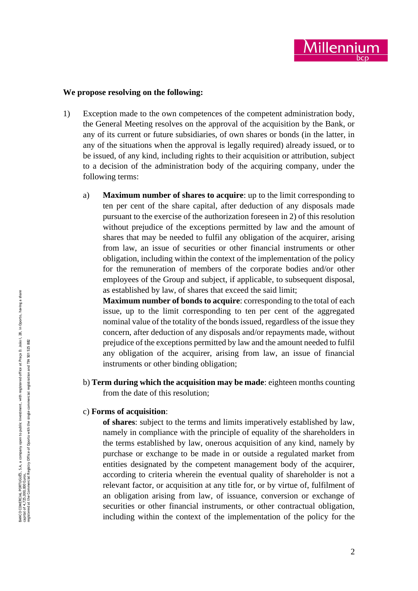

### **We propose resolving on the following:**

- 1) Exception made to the own competences of the competent administration body, the General Meeting resolves on the approval of the acquisition by the Bank, or any of its current or future subsidiaries, of own shares or bonds (in the latter, in any of the situations when the approval is legally required) already issued, or to be issued, of any kind, including rights to their acquisition or attribution, subject to a decision of the administration body of the acquiring company, under the following terms:
	- a) **Maximum number of shares to acquire**: up to the limit corresponding to ten per cent of the share capital, after deduction of any disposals made pursuant to the exercise of the authorization foreseen in 2) of this resolution without prejudice of the exceptions permitted by law and the amount of shares that may be needed to fulfil any obligation of the acquirer, arising from law, an issue of securities or other financial instruments or other obligation, including within the context of the implementation of the policy for the remuneration of members of the corporate bodies and/or other employees of the Group and subject, if applicable, to subsequent disposal, as established by law, of shares that exceed the said limit;

**Maximum number of bonds to acquire**: corresponding to the total of each issue, up to the limit corresponding to ten per cent of the aggregated nominal value of the totality of the bonds issued, regardless of the issue they concern, after deduction of any disposals and/or repayments made, without prejudice of the exceptions permitted by law and the amount needed to fulfil any obligation of the acquirer, arising from law, an issue of financial instruments or other binding obligation;

- b) **Term during which the acquisition may be made**: eighteen months counting from the date of this resolution;
- c) **Forms of acquisition** :

**of shares**: subject to the terms and limits imperatively established by law, namely in compliance with the principle of equality of the shareholders in the terms established by law, onerous acquisition of any kind, namely by purchase or exchange to be made in or outside a regulated market from entities designated by the competent management body of the acquirer, according to criteria wherein the eventual quality of shareholder is not a relevant factor, or acquisition at any title for, or by virtue of, fulfilment of an obligation arising from law, of issuance, conversion or exchange of securities or other financial instruments, or other contractual obligation, including within the context of the implementation of the policy for the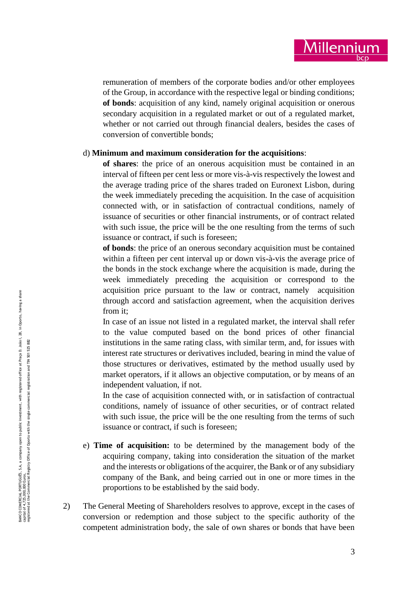

remuneration of members of the corporate bodies and/or other employees of the Group, in accordance with the respective legal or binding conditions; **of bonds**: acquisition of any kind, namely original acquisition or onerous secondary acquisition in a regulated market or out of a regulated market, whether or not carried out through financial dealers, besides the cases of conversion of convertible bonds;

#### d) **Minimum and maximum consideration for the acquisitions**:

**of shares**: the price of an onerous acquisition must be contained in an interval of fifteen per cent less or more vis - à -vis respectively the lowest and the average trading price of the shares traded on Euronext Lisbon, during the week immediately preceding the acquisition. In the case of acquisition connected with, or in satisfaction of contractual conditions, namely of issuance of securities or other financial instruments, or of contract related with such issue, the price will be the one resulting from the terms of such issuance or contract, if such is foreseen;

**of bonds**: the price of an onerous secondary acquisition must be contained within a fifteen per cent interval up or down vis-à-vis the average price of the bonds in the stock exchange where the acquisition is made, during the week immediately preceding the acquisition or correspond to the acquisition price pursuant to the law or contract, namely acquisition through accord and satisfaction agreement, when the acquisition derives from it;

In case of an issue not listed in a regulated market, the interval shall refer to the value computed based on the bond prices of other financial institutions in the same rating class, with similar term, and, for issues with interest rate structures or derivatives included, bearing in mind the value of those structures or derivatives, estimated by the method usually used by market operators, if it allows an objective computation, or by means of an independent valuation, if not.

In the case of acquisition connected with, or in satisfaction of contractual conditions, namely of issuance of other securities, or of contract related with such issue, the price will be the one resulting from the terms of such issuance or contract, if such is foreseen;

- e) **Time of acquisition:** to be determined by the management body of the acquiring company, taking into consideration the situation of the market and the interests or obligations of the acquirer, the Bank or of any subsidiary company of the Bank, and being carried out in one or more times in the proportions to be established by the said body.
- 2) The General Meeting of Shareholders resolves to approve, except in the cases of conversion or redemption and those subject to the specific authority of the competent administration body, the sale of own shares or bonds that have been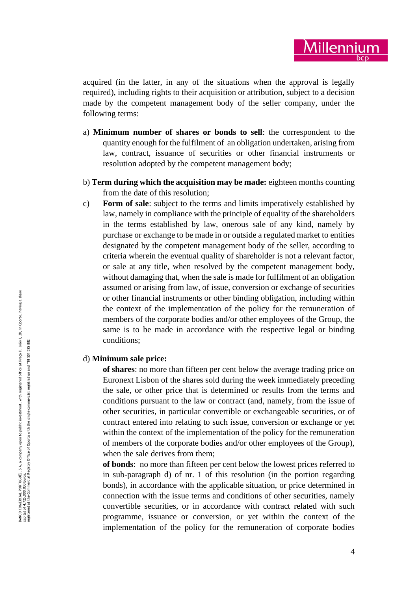acquired (in the latter, in any of the situations when the approval is legally required), including rights to their acquisition or attribution, subject to a decision made by the competent management body of the seller company, under the following terms:

- a) **Minimum number of shares or bonds to sell**: the correspondent to the quantity enough for the fulfilment of an obligation undertaken, arising from law, contract, issuance of securities or other financial instruments or resolution adopted by the competent management body;
- b) **Term during which the acquisition may be made:** eighteen months counting from the date of this resolution;
- c) **Form of sale**: subject to the terms and limits imperatively established by law, namely in compliance with the principle of equality of the shareholders in the terms established by law, onerous sale of any kind, namely by purchase or exchange to be made in or outside a regulated market to entities designated by the competent management body of the seller, according to criteria wherein the eventual quality of shareholder is not a relevant factor, or sale at any title, when resolved by the competent management body, without damaging that, when the sale is made for fulfilment of an obligation assumed or arising from law, of issue, conversion or exchange of securities or other financial instruments or other binding obligation, including within the context of the implementation of the policy for the remuneration of members of the corporate bodies and/or other employees of the Group, the same is to be made in accordance with the respective legal or binding conditions;

### d) **Minimum sale price:**

**of shares**: no more than fifteen per cent below the average trading price on Euronext Lisbon of the shares sold during the week immediately preceding the sale, or other price that is determined or results from the terms and conditions pursuant to the law or contract (and, namely, from the issue of other securities, in particular convertible or exchangeable securities, or of contract entered into relating to such issue, conversion or exchange or yet within the context of the implementation of the policy for the remuneration of members of the corporate bodies and/or other employees of the Group), when the sale derives from them;

**of bonds**: no more than fifteen per cent below the lowest prices referred to in sub -paragraph d) of nr. 1 of this resolution (in the portion regarding bonds), in accordance with the applicable situation, or price determined in connection with the issue terms and conditions of other securities, namely convertible securities, or in accordance with contract related with such programme, issuance or conversion, or yet within the context of the implementation of the policy for the remuneration of corporate bodies